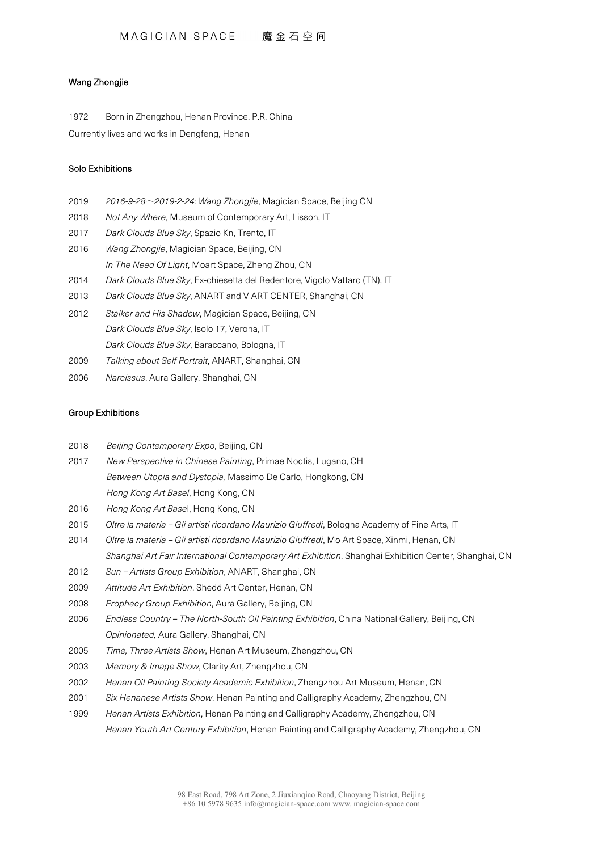## Wang Zhongjie

1972 Born in Zhengzhou, Henan Province, P.R. China Currently lives and works in Dengfeng, Henan

## Solo Exhibitions

- 2019 *2016-9-28*~*2019-2-24: Wang Zhongjie*, Magician Space, Beijing CN
- 2018 *Not Any Where*, Museum of Contemporary Art, Lisson, IT
- 2017 *Dark Clouds Blue Sky*, Spazio Kn, Trento, IT
- 2016 *Wang Zhongjie*, Magician Space, Beijing, CN *In The Need Of Light*, Moart Space, Zheng Zhou, CN
- 2014 *Dark Clouds Blue Sky*, Ex-chiesetta del Redentore, Vigolo Vattaro (TN), IT
- 2013 *Dark Clouds Blue Sky*, ANART and V ART CENTER, Shanghai, CN
- 2012 *Stalker and His Shadow*, Magician Space, Beijing, CN *Dark Clouds Blue Sky*, Isolo 17, Verona, IT *Dark Clouds Blue Sky*, Baraccano, Bologna, IT
- 2009 *Talking about Self Portrait*, ANART, Shanghai, CN
- 2006 *Narcissus*, Aura Gallery, Shanghai, CN

## Group Exhibitions

- 2018 *Beijing Contemporary Expo*, Beijing, CN
- 2017 *New Perspective in Chinese Painting*, Primae Noctis, Lugano, CH *Between Utopia and Dystopia,* Massimo De Carlo, Hongkong, CN *Hong Kong Art Basel*, Hong Kong, CN
- 2016 *Hong Kong Art Base*l, Hong Kong, CN
- 2015 *Oltre la materia – Gli artisti ricordano Maurizio Giuffredi*, Bologna Academy of Fine Arts, IT
- 2014 *Oltre la materia – Gli artisti ricordano Maurizio Giuffredi*, Mo Art Space, Xinmi, Henan, CN *Shanghai Art Fair International Contemporary Art Exhibition*, Shanghai Exhibition Center, Shanghai, CN
- 2012 *Sun – Artists Group Exhibition*, ANART, Shanghai, CN
- 2009 *Attitude Art Exhibition*, Shedd Art Center, Henan, CN
- 2008 *Prophecy Group Exhibition*, Aura Gallery, Beijing, CN
- 2006 *Endless Country – The North-South Oil Painting Exhibition*, China National Gallery, Beijing, CN *Opinionated,* Aura Gallery, Shanghai, CN
- 2005 *Time, Three Artists Show*, Henan Art Museum, Zhengzhou, CN
- 2003 *Memory & Image Show*, Clarity Art, Zhengzhou, CN
- 2002 *Henan Oil Painting Society Academic Exhibition*, Zhengzhou Art Museum, Henan, CN
- 2001 *Six Henanese Artists Show*, Henan Painting and Calligraphy Academy, Zhengzhou, CN
- 1999 *Henan Artists Exhibition*, Henan Painting and Calligraphy Academy, Zhengzhou, CN *Henan Youth Art Century Exhibition*, Henan Painting and Calligraphy Academy, Zhengzhou, CN